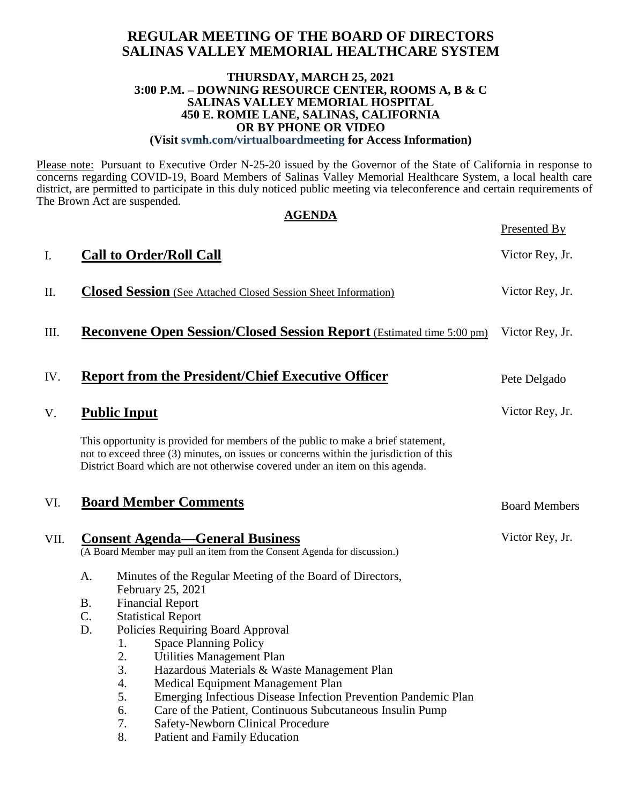## **REGULAR MEETING OF THE BOARD OF DIRECTORS SALINAS VALLEY MEMORIAL HEALTHCARE SYSTEM**

#### **THURSDAY, MARCH 25, 2021 3:00 P.M. – DOWNING RESOURCE CENTER, ROOMS A, B & C SALINAS VALLEY MEMORIAL HOSPITAL 450 E. ROMIE LANE, SALINAS, CALIFORNIA OR BY PHONE OR VIDEO (Visit svmh.com/virtualboardmeeting for Access Information)**

Please note: Pursuant to Executive Order N-25-20 issued by the Governor of the State of California in response to concerns regarding COVID-19, Board Members of Salinas Valley Memorial Healthcare System, a local health care district, are permitted to participate in this duly noticed public meeting via teleconference and certain requirements of The Brown Act are suspended. **AGENDA**

|      |           | AGENDA                                                                                                                                                                                                                                                      | Presented By         |
|------|-----------|-------------------------------------------------------------------------------------------------------------------------------------------------------------------------------------------------------------------------------------------------------------|----------------------|
| I.   |           | <b>Call to Order/Roll Call</b>                                                                                                                                                                                                                              | Victor Rey, Jr.      |
| П.   |           | <b>Closed Session</b> (See Attached Closed Session Sheet Information)                                                                                                                                                                                       | Victor Rey, Jr.      |
| Ш.   |           | <b>Reconvene Open Session/Closed Session Report</b> (Estimated time 5:00 pm)                                                                                                                                                                                | Victor Rey, Jr.      |
| IV.  |           | <b>Report from the President/Chief Executive Officer</b>                                                                                                                                                                                                    | Pete Delgado         |
| V.   |           | <b>Public Input</b>                                                                                                                                                                                                                                         | Victor Rey, Jr.      |
|      |           | This opportunity is provided for members of the public to make a brief statement,<br>not to exceed three (3) minutes, on issues or concerns within the jurisdiction of this<br>District Board which are not otherwise covered under an item on this agenda. |                      |
| VI.  |           | <b>Board Member Comments</b>                                                                                                                                                                                                                                | <b>Board Members</b> |
| VII. |           | <b>Consent Agenda—General Business</b><br>(A Board Member may pull an item from the Consent Agenda for discussion.)                                                                                                                                         | Victor Rey, Jr.      |
|      | A.        | Minutes of the Regular Meeting of the Board of Directors,<br>February 25, 2021                                                                                                                                                                              |                      |
|      | <b>B.</b> | <b>Financial Report</b>                                                                                                                                                                                                                                     |                      |
|      | C.        | <b>Statistical Report</b>                                                                                                                                                                                                                                   |                      |
|      | D.        | Policies Requiring Board Approval                                                                                                                                                                                                                           |                      |
|      |           | <b>Space Planning Policy</b><br>1.                                                                                                                                                                                                                          |                      |
|      |           | 2.<br><b>Utilities Management Plan</b>                                                                                                                                                                                                                      |                      |
|      |           | 3.<br>Hazardous Materials & Waste Management Plan                                                                                                                                                                                                           |                      |
|      |           | 4.<br>Medical Equipment Management Plan                                                                                                                                                                                                                     |                      |
|      |           | 5.<br>Emerging Infectious Disease Infection Prevention Pandemic Plan                                                                                                                                                                                        |                      |
|      |           | 6.<br>Care of the Patient, Continuous Subcutaneous Insulin Pump<br>7.<br>Safety-Newborn Clinical Procedure                                                                                                                                                  |                      |
|      |           | 8.<br><b>Patient and Family Education</b>                                                                                                                                                                                                                   |                      |
|      |           |                                                                                                                                                                                                                                                             |                      |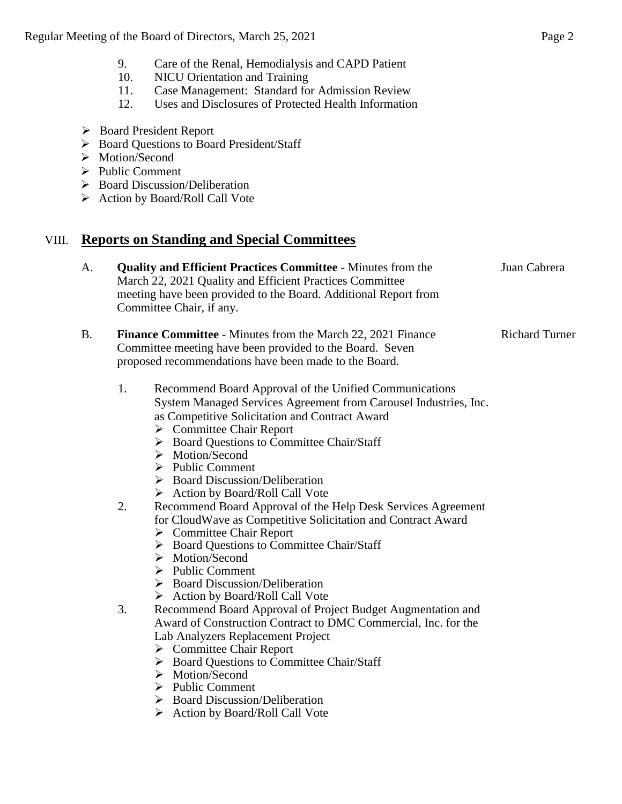- 9. Care of the Renal, Hemodialysis and CAPD Patient
- 10. NICU Orientation and Training
- 11. Case Management: Standard for Admission Review
- 12. Uses and Disclosures of Protected Health Information
- Board President Report
- Board Questions to Board President/Staff
- > Motion/Second
- $\triangleright$  Public Comment
- ▶ Board Discussion/Deliberation
- $\triangleright$  Action by Board/Roll Call Vote

## VIII. **Reports on Standing and Special Committees**

| A. | <b>Quality and Efficient Practices Committee - Minutes from the</b><br>March 22, 2021 Quality and Efficient Practices Committee<br>meeting have been provided to the Board. Additional Report from<br>Committee Chair, if any.                                                                                                                                                                                                                                       | Juan Cabrera          |
|----|----------------------------------------------------------------------------------------------------------------------------------------------------------------------------------------------------------------------------------------------------------------------------------------------------------------------------------------------------------------------------------------------------------------------------------------------------------------------|-----------------------|
| B. | <b>Finance Committee</b> - Minutes from the March 22, 2021 Finance<br>Committee meeting have been provided to the Board. Seven<br>proposed recommendations have been made to the Board.                                                                                                                                                                                                                                                                              | <b>Richard Turner</b> |
|    | 1.<br>Recommend Board Approval of the Unified Communications<br>System Managed Services Agreement from Carousel Industries, Inc.<br>as Competitive Solicitation and Contract Award<br>$\triangleright$ Committee Chair Report<br>$\triangleright$ Board Questions to Committee Chair/Staff<br>$\triangleright$ Motion/Second<br>$\triangleright$ Public Comment<br>$\triangleright$ Board Discussion/Deliberation<br>$\triangleright$ Action by Board/Roll Call Vote |                       |

- 2. Recommend Board Approval of the Help Desk Services Agreement for CloudWave as Competitive Solicitation and Contract Award
	- $\triangleright$  Committee Chair Report
	- ▶ Board Questions to Committee Chair/Staff
	- > Motion/Second
	- $\triangleright$  Public Comment
	- $\triangleright$  Board Discussion/Deliberation
	- $\triangleright$  Action by Board/Roll Call Vote
- 3. Recommend Board Approval of Project Budget Augmentation and Award of Construction Contract to DMC Commercial, Inc. for the Lab Analyzers Replacement Project
	- Committee Chair Report
	- ▶ Board Questions to Committee Chair/Staff
	- > Motion/Second
	- $\triangleright$  Public Comment
	- $\triangleright$  Board Discussion/Deliberation
	- $\triangleright$  Action by Board/Roll Call Vote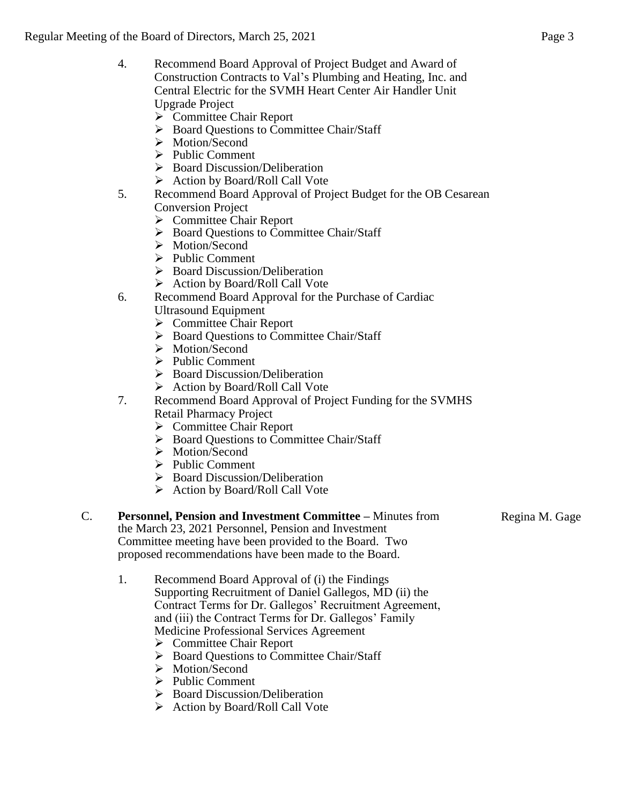- 4. Recommend Board Approval of Project Budget and Award of Construction Contracts to Val's Plumbing and Heating, Inc. and Central Electric for the SVMH Heart Center Air Handler Unit Upgrade Project
	- ▶ Committee Chair Report
	- ▶ Board Questions to Committee Chair/Staff
	- > Motion/Second
	- $\triangleright$  Public Comment
	- $\triangleright$  Board Discussion/Deliberation
	- Action by Board/Roll Call Vote
- 5. Recommend Board Approval of Project Budget for the OB Cesarean Conversion Project
	- **►** Committee Chair Report
	- ▶ Board Questions to Committee Chair/Staff
	- > Motion/Second
	- $\triangleright$  Public Comment
	- ▶ Board Discussion/Deliberation
	- $\triangleright$  Action by Board/Roll Call Vote
- 6. Recommend Board Approval for the Purchase of Cardiac Ultrasound Equipment
	- **►** Committee Chair Report
	- $\triangleright$  Board Questions to Committee Chair/Staff
	- > Motion/Second
	- $\triangleright$  Public Comment
	- **Board Discussion/Deliberation**
	- $\triangleright$  Action by Board/Roll Call Vote
- 7. Recommend Board Approval of Project Funding for the SVMHS Retail Pharmacy Project
	- $\triangleright$  Committee Chair Report
	- ▶ Board Questions to Committee Chair/Staff
	- > Motion/Second
	- $\triangleright$  Public Comment
	- $\triangleright$  Board Discussion/Deliberation
	- $\triangleright$  Action by Board/Roll Call Vote

## C. **Personnel, Pension and Investment Committee –** Minutes from

the March 23, 2021 Personnel, Pension and Investment Committee meeting have been provided to the Board. Two proposed recommendations have been made to the Board.

Regina M. Gage

- 1. Recommend Board Approval of (i) the Findings Supporting Recruitment of Daniel Gallegos, MD (ii) the Contract Terms for Dr. Gallegos' Recruitment Agreement, and (iii) the Contract Terms for Dr. Gallegos' Family Medicine Professional Services Agreement
	- Committee Chair Report
	- ▶ Board Questions to Committee Chair/Staff
	- > Motion/Second
	- $\triangleright$  Public Comment
	- $\triangleright$  Board Discussion/Deliberation
	- $\triangleright$  Action by Board/Roll Call Vote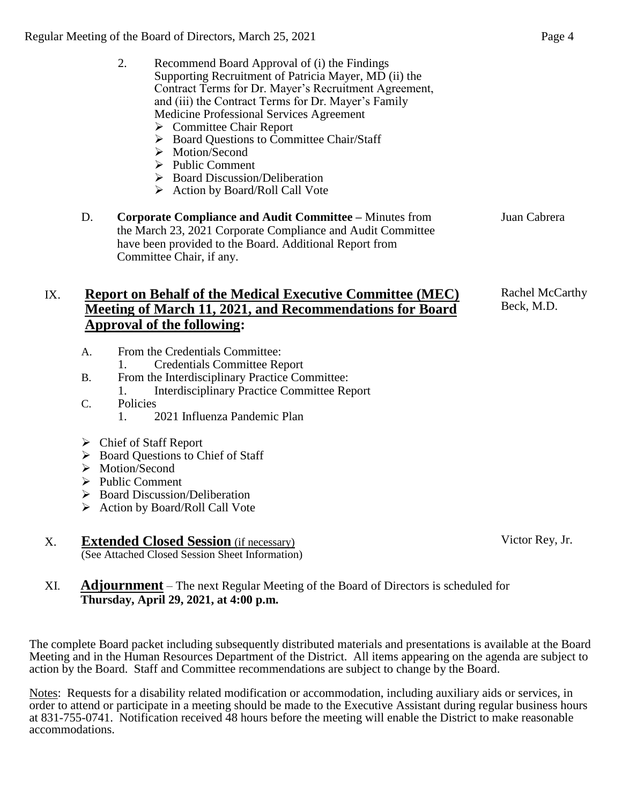| 2. | Recommend Board Approval of (i) the Findings          |
|----|-------------------------------------------------------|
|    | Supporting Recruitment of Patricia Mayer, MD (ii) the |
|    | Contract Terms for Dr. Mayer's Recruitment Agreement, |
|    | and (iii) the Contract Terms for Dr. Mayer's Family   |
|    | Medicine Professional Services Agreement              |

- $\triangleright$  Committee Chair Report
- ▶ Board Questions to Committee Chair/Staff
- $\triangleright$  Motion/Second
- $\triangleright$  Public Comment
- $\triangleright$  Board Discussion/Deliberation
- $\triangleright$  Action by Board/Roll Call Vote
- D. **Corporate Compliance and Audit Committee –** Minutes from the March 23, 2021 Corporate Compliance and Audit Committee have been provided to the Board. Additional Report from Committee Chair, if any. Juan Cabrera

## IX. **Report on Behalf of the Medical Executive Committee (MEC) Meeting of March 11, 2021, and Recommendations for Board Approval of the following:**

- A. From the Credentials Committee:
	- 1. Credentials Committee Report
- B. From the Interdisciplinary Practice Committee: 1. Interdisciplinary Practice Committee Report
- C. Policies
	- 1. 2021 Influenza Pandemic Plan
- Chief of Staff Report
- $\triangleright$  Board Questions to Chief of Staff
- > Motion/Second
- $\triangleright$  Public Comment
- $\triangleright$  Board Discussion/Deliberation
- $\triangleright$  Action by Board/Roll Call Vote

#### X. **Extended Closed Session** (if necessary) (See Attached Closed Session Sheet Information)

XI. **Adjournment** – The next Regular Meeting of the Board of Directors is scheduled for **Thursday, April 29, 2021, at 4:00 p.m.**

The complete Board packet including subsequently distributed materials and presentations is available at the Board Meeting and in the Human Resources Department of the District. All items appearing on the agenda are subject to action by the Board. Staff and Committee recommendations are subject to change by the Board.

Notes: Requests for a disability related modification or accommodation, including auxiliary aids or services, in order to attend or participate in a meeting should be made to the Executive Assistant during regular business hours at 831-755-0741. Notification received 48 hours before the meeting will enable the District to make reasonable accommodations.

Rachel McCarthy Beck, M.D.

Victor Rey, Jr.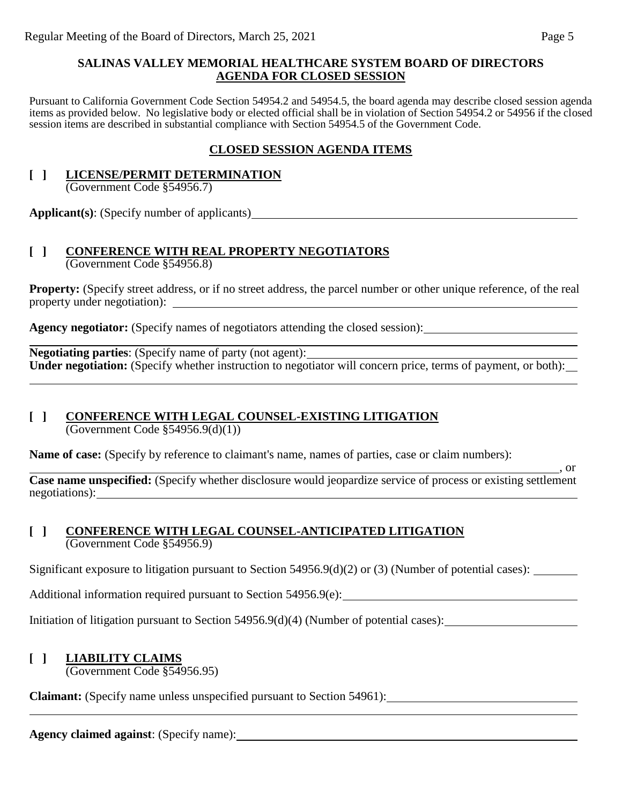## **SALINAS VALLEY MEMORIAL HEALTHCARE SYSTEM BOARD OF DIRECTORS AGENDA FOR CLOSED SESSION**

Pursuant to California Government Code Section 54954.2 and 54954.5, the board agenda may describe closed session agenda items as provided below. No legislative body or elected official shall be in violation of Section 54954.2 or 54956 if the closed session items are described in substantial compliance with Section 54954.5 of the Government Code.

## **CLOSED SESSION AGENDA ITEMS**

#### **[ ] LICENSE/PERMIT DETERMINATION** (Government Code §54956.7)

**Applicant(s)**: (Specify number of applicants)

#### **[ ] CONFERENCE WITH REAL PROPERTY NEGOTIATORS** (Government Code §54956.8)

**Property:** (Specify street address, or if no street address, the parcel number or other unique reference, of the real property under negotiation):

**Agency negotiator:** (Specify names of negotiators attending the closed session):

**Negotiating parties**: (Specify name of party (not agent): Under negotiation: (Specify whether instruction to negotiator will concern price, terms of payment, or both):

#### **[ ] CONFERENCE WITH LEGAL COUNSEL-EXISTING LITIGATION** (Government Code §54956.9(d)(1))

**Name of case:** (Specify by reference to claimant's name, names of parties, case or claim numbers):

 $\frac{1}{\sqrt{2}}$ , or **Case name unspecified:** (Specify whether disclosure would jeopardize service of process or existing settlement negotiations):

## **[ ] CONFERENCE WITH LEGAL COUNSEL-ANTICIPATED LITIGATION** (Government Code §54956.9)

Significant exposure to litigation pursuant to Section 54956.9(d)(2) or (3) (Number of potential cases): \_\_\_\_\_\_\_\_\_\_\_

Additional information required pursuant to Section 54956.9(e):

Initiation of litigation pursuant to Section 54956.9(d)(4) (Number of potential cases):

## **[ ] LIABILITY CLAIMS**

(Government Code §54956.95)

**Claimant:** (Specify name unless unspecified pursuant to Section 54961):

**Agency claimed against**: (Specify name):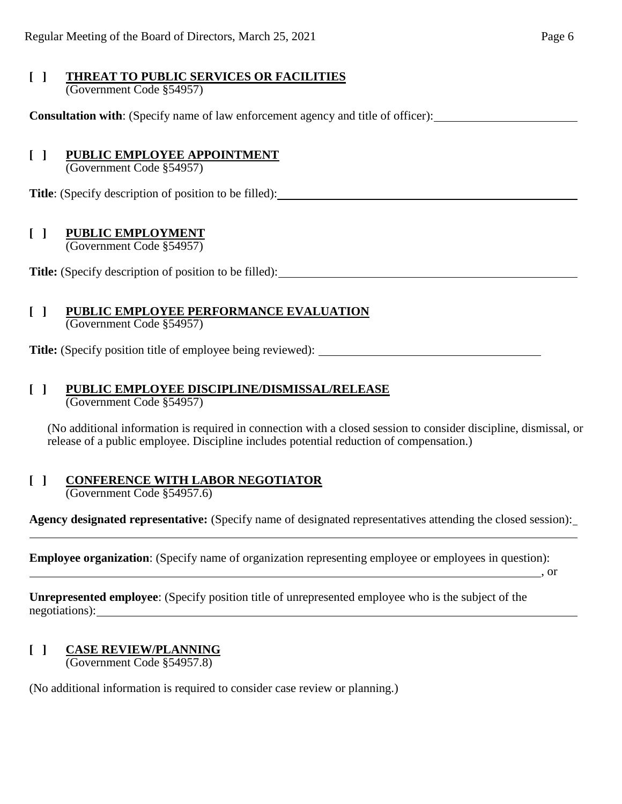#### **[ ] THREAT TO PUBLIC SERVICES OR FACILITIES** (Government Code §54957)

**Consultation with**: (Specify name of law enforcement agency and title of officer):

## **[ ] PUBLIC EMPLOYEE APPOINTMENT**

(Government Code §54957)

**Title**: (Specify description of position to be filled):

## **[ ] PUBLIC EMPLOYMENT**

(Government Code §54957)

**Title:** (Specify description of position to be filled):

#### **[ ] PUBLIC EMPLOYEE PERFORMANCE EVALUATION** (Government Code §54957)

**Title:** (Specify position title of employee being reviewed):

## **[ ] PUBLIC EMPLOYEE DISCIPLINE/DISMISSAL/RELEASE**

(Government Code §54957)

(No additional information is required in connection with a closed session to consider discipline, dismissal, or release of a public employee. Discipline includes potential reduction of compensation.)

# **[ ] CONFERENCE WITH LABOR NEGOTIATOR**

(Government Code §54957.6)

**Agency designated representative:** (Specify name of designated representatives attending the closed session): l

**Employee organization**: (Specify name of organization representing employee or employees in question):

, or

**Unrepresented employee**: (Specify position title of unrepresented employee who is the subject of the negotiations):

#### **[ ] CASE REVIEW/PLANNING** (Government Code §54957.8)

(No additional information is required to consider case review or planning.)